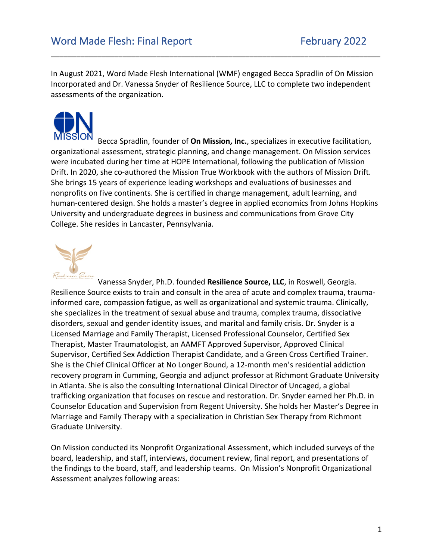In August 2021, Word Made Flesh International (WMF) engaged Becca Spradlin of On Mission Incorporated and Dr. Vanessa Snyder of Resilience Source, LLC to complete two independent assessments of the organization.

\_\_\_\_\_\_\_\_\_\_\_\_\_\_\_\_\_\_\_\_\_\_\_\_\_\_\_\_\_\_\_\_\_\_\_\_\_\_\_\_\_\_\_\_\_\_\_\_\_\_\_\_\_\_\_\_\_\_\_\_\_\_\_\_\_\_\_\_\_\_\_\_\_\_\_\_\_\_



Becca Spradlin, founder of **On Mission, Inc.**, specializes in executive facilitation, organizational assessment, strategic planning, and change management. On Mission services were incubated during her time at HOPE International, following the publication of Mission Drift. In 2020, she co-authored the Mission True Workbook with the authors of Mission Drift. She brings 15 years of experience leading workshops and evaluations of businesses and nonprofits on five continents. She is certified in change management, adult learning, and human-centered design. She holds a master's degree in applied economics from Johns Hopkins University and undergraduate degrees in business and communications from Grove City College. She resides in Lancaster, Pennsylvania.



Vanessa Snyder, Ph.D. founded **Resilience Source, LLC**, in Roswell, Georgia. Resilience Source exists to train and consult in the area of acute and complex trauma, traumainformed care, compassion fatigue, as well as organizational and systemic trauma. Clinically, she specializes in the treatment of sexual abuse and trauma, complex trauma, dissociative disorders, sexual and gender identity issues, and marital and family crisis. Dr. Snyder is a Licensed Marriage and Family Therapist, Licensed Professional Counselor, Certified Sex Therapist, Master Traumatologist, an AAMFT Approved Supervisor, Approved Clinical Supervisor, Certified Sex Addiction Therapist Candidate, and a Green Cross Certified Trainer. She is the Chief Clinical Officer at No Longer Bound, a 12-month men's residential addiction recovery program in Cumming, Georgia and adjunct professor at Richmont Graduate University in Atlanta. She is also the consulting International Clinical Director of Uncaged, a global trafficking organization that focuses on rescue and restoration. Dr. Snyder earned her Ph.D. in Counselor Education and Supervision from Regent University. She holds her Master's Degree in Marriage and Family Therapy with a specialization in Christian Sex Therapy from Richmont Graduate University.

On Mission conducted its Nonprofit Organizational Assessment, which included surveys of the board, leadership, and staff, interviews, document review, final report, and presentations of the findings to the board, staff, and leadership teams. On Mission's Nonprofit Organizational Assessment analyzes following areas: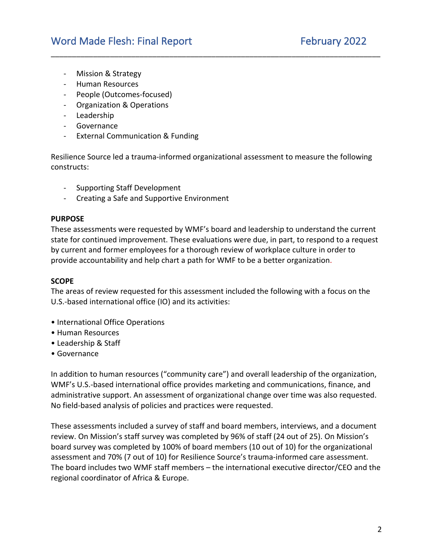- Mission & Strategy
- Human Resources
- People (Outcomes-focused)
- Organization & Operations
- Leadership
- Governance
- External Communication & Funding

Resilience Source led a trauma-informed organizational assessment to measure the following constructs:

\_\_\_\_\_\_\_\_\_\_\_\_\_\_\_\_\_\_\_\_\_\_\_\_\_\_\_\_\_\_\_\_\_\_\_\_\_\_\_\_\_\_\_\_\_\_\_\_\_\_\_\_\_\_\_\_\_\_\_\_\_\_\_\_\_\_\_\_\_\_\_\_\_\_\_\_\_\_

- Supporting Staff Development
- Creating a Safe and Supportive Environment

#### **PURPOSE**

These assessments were requested by WMF's board and leadership to understand the current state for continued improvement. These evaluations were due, in part, to respond to a request by current and former employees for a thorough review of workplace culture in order to provide accountability and help chart a path for WMF to be a better organization.

## **SCOPE**

The areas of review requested for this assessment included the following with a focus on the U.S.-based international office (IO) and its activities:

- International Office Operations
- Human Resources
- Leadership & Staff
- Governance

In addition to human resources ("community care") and overall leadership of the organization, WMF's U.S.-based international office provides marketing and communications, finance, and administrative support. An assessment of organizational change over time was also requested. No field-based analysis of policies and practices were requested.

These assessments included a survey of staff and board members, interviews, and a document review. On Mission's staff survey was completed by 96% of staff (24 out of 25). On Mission's board survey was completed by 100% of board members (10 out of 10) for the organizational assessment and 70% (7 out of 10) for Resilience Source's trauma-informed care assessment. The board includes two WMF staff members – the international executive director/CEO and the regional coordinator of Africa & Europe.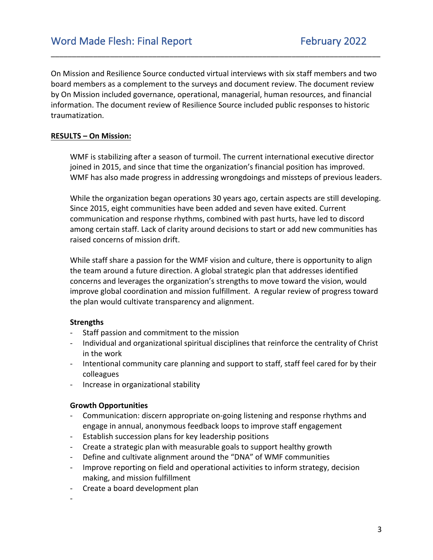On Mission and Resilience Source conducted virtual interviews with six staff members and two board members as a complement to the surveys and document review. The document review by On Mission included governance, operational, managerial, human resources, and financial information. The document review of Resilience Source included public responses to historic traumatization.

\_\_\_\_\_\_\_\_\_\_\_\_\_\_\_\_\_\_\_\_\_\_\_\_\_\_\_\_\_\_\_\_\_\_\_\_\_\_\_\_\_\_\_\_\_\_\_\_\_\_\_\_\_\_\_\_\_\_\_\_\_\_\_\_\_\_\_\_\_\_\_\_\_\_\_\_\_\_

# **RESULTS – On Mission:**

WMF is stabilizing after a season of turmoil. The current international executive director joined in 2015, and since that time the organization's financial position has improved. WMF has also made progress in addressing wrongdoings and missteps of previous leaders.

While the organization began operations 30 years ago, certain aspects are still developing. Since 2015, eight communities have been added and seven have exited. Current communication and response rhythms, combined with past hurts, have led to discord among certain staff. Lack of clarity around decisions to start or add new communities has raised concerns of mission drift.

While staff share a passion for the WMF vision and culture, there is opportunity to align the team around a future direction. A global strategic plan that addresses identified concerns and leverages the organization's strengths to move toward the vision, would improve global coordination and mission fulfillment. A regular review of progress toward the plan would cultivate transparency and alignment.

#### **Strengths**

- Staff passion and commitment to the mission
- Individual and organizational spiritual disciplines that reinforce the centrality of Christ in the work
- Intentional community care planning and support to staff, staff feel cared for by their colleagues
- Increase in organizational stability

#### **Growth Opportunities**

- Communication: discern appropriate on-going listening and response rhythms and engage in annual, anonymous feedback loops to improve staff engagement
- Establish succession plans for key leadership positions
- Create a strategic plan with measurable goals to support healthy growth
- Define and cultivate alignment around the "DNA" of WMF communities
- Improve reporting on field and operational activities to inform strategy, decision making, and mission fulfillment
- Create a board development plan

-